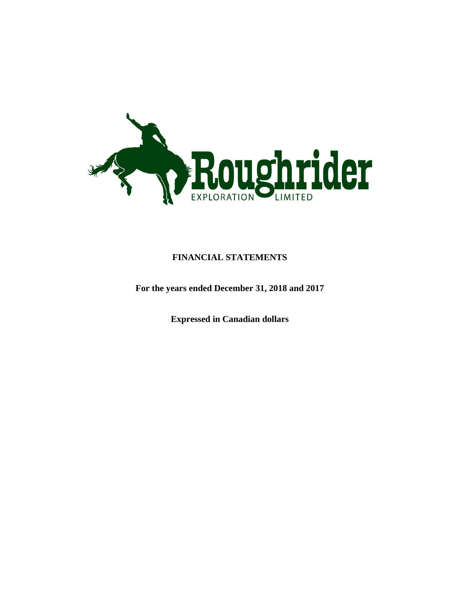

# **FINANCIAL STATEMENTS**

**For the years ended December 31, 2018 and 2017**

**Expressed in Canadian dollars**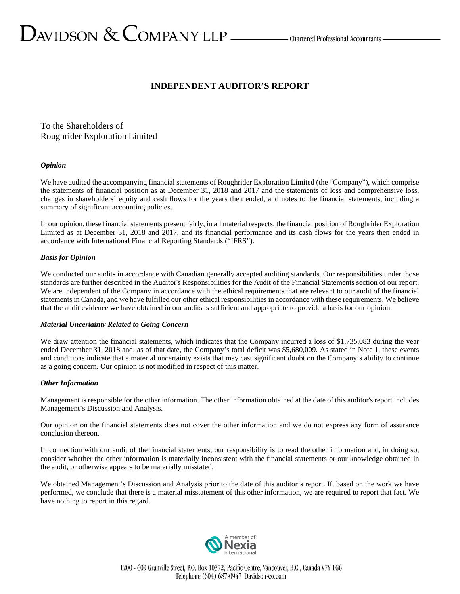# **INDEPENDENT AUDITOR'S REPORT**

To the Shareholders of Roughrider Exploration Limited

### *Opinion*

We have audited the accompanying financial statements of Roughrider Exploration Limited (the "Company"), which comprise the statements of financial position as at December 31, 2018 and 2017 and the statements of loss and comprehensive loss, changes in shareholders' equity and cash flows for the years then ended, and notes to the financial statements, including a summary of significant accounting policies.

In our opinion, these financial statements present fairly, in all material respects, the financial position of Roughrider Exploration Limited as at December 31, 2018 and 2017, and its financial performance and its cash flows for the years then ended in accordance with International Financial Reporting Standards ("IFRS").

#### *Basis for Opinion*

We conducted our audits in accordance with Canadian generally accepted auditing standards. Our responsibilities under those standards are further described in the Auditor's Responsibilities for the Audit of the Financial Statements section of our report. We are independent of the Company in accordance with the ethical requirements that are relevant to our audit of the financial statements in Canada, and we have fulfilled our other ethical responsibilities in accordance with these requirements. We believe that the audit evidence we have obtained in our audits is sufficient and appropriate to provide a basis for our opinion.

#### *Material Uncertainty Related to Going Concern*

We draw attention the financial statements, which indicates that the Company incurred a loss of \$1,735,083 during the year ended December 31, 2018 and, as of that date, the Company's total deficit was \$5,680,009. As stated in Note 1, these events and conditions indicate that a material uncertainty exists that may cast significant doubt on the Company's ability to continue as a going concern. Our opinion is not modified in respect of this matter.

### *Other Information*

Management is responsible for the other information. The other information obtained at the date of this auditor's report includes Management's Discussion and Analysis.

Our opinion on the financial statements does not cover the other information and we do not express any form of assurance conclusion thereon.

In connection with our audit of the financial statements, our responsibility is to read the other information and, in doing so, consider whether the other information is materially inconsistent with the financial statements or our knowledge obtained in the audit, or otherwise appears to be materially misstated.

We obtained Management's Discussion and Analysis prior to the date of this auditor's report. If, based on the work we have performed, we conclude that there is a material misstatement of this other information, we are required to report that fact. We have nothing to report in this regard.

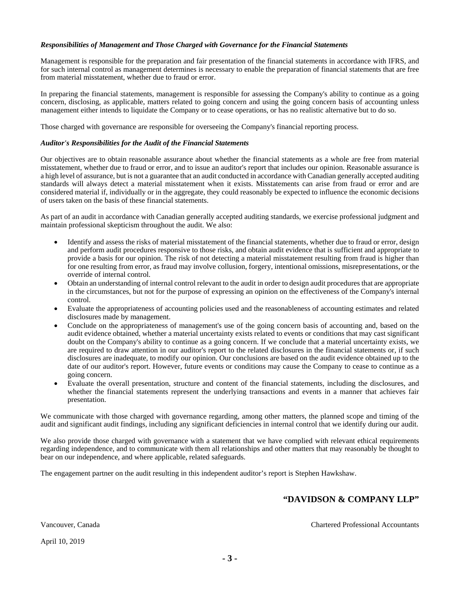### *Responsibilities of Management and Those Charged with Governance for the Financial Statements*

Management is responsible for the preparation and fair presentation of the financial statements in accordance with IFRS, and for such internal control as management determines is necessary to enable the preparation of financial statements that are free from material misstatement, whether due to fraud or error.

In preparing the financial statements, management is responsible for assessing the Company's ability to continue as a going concern, disclosing, as applicable, matters related to going concern and using the going concern basis of accounting unless management either intends to liquidate the Company or to cease operations, or has no realistic alternative but to do so.

Those charged with governance are responsible for overseeing the Company's financial reporting process.

#### *Auditor's Responsibilities for the Audit of the Financial Statements*

Our objectives are to obtain reasonable assurance about whether the financial statements as a whole are free from material misstatement, whether due to fraud or error, and to issue an auditor's report that includes our opinion. Reasonable assurance is a high level of assurance, but is not a guarantee that an audit conducted in accordance with Canadian generally accepted auditing standards will always detect a material misstatement when it exists. Misstatements can arise from fraud or error and are considered material if, individually or in the aggregate, they could reasonably be expected to influence the economic decisions of users taken on the basis of these financial statements.

As part of an audit in accordance with Canadian generally accepted auditing standards, we exercise professional judgment and maintain professional skepticism throughout the audit. We also:

- Identify and assess the risks of material misstatement of the financial statements, whether due to fraud or error, design and perform audit procedures responsive to those risks, and obtain audit evidence that is sufficient and appropriate to provide a basis for our opinion. The risk of not detecting a material misstatement resulting from fraud is higher than for one resulting from error, as fraud may involve collusion, forgery, intentional omissions, misrepresentations, or the override of internal control.
- Obtain an understanding of internal control relevant to the audit in order to design audit procedures that are appropriate in the circumstances, but not for the purpose of expressing an opinion on the effectiveness of the Company's internal control.
- Evaluate the appropriateness of accounting policies used and the reasonableness of accounting estimates and related disclosures made by management.
- Conclude on the appropriateness of management's use of the going concern basis of accounting and, based on the audit evidence obtained, whether a material uncertainty exists related to events or conditions that may cast significant doubt on the Company's ability to continue as a going concern. If we conclude that a material uncertainty exists, we are required to draw attention in our auditor's report to the related disclosures in the financial statements or, if such disclosures are inadequate, to modify our opinion. Our conclusions are based on the audit evidence obtained up to the date of our auditor's report. However, future events or conditions may cause the Company to cease to continue as a going concern.
- Evaluate the overall presentation, structure and content of the financial statements, including the disclosures, and whether the financial statements represent the underlying transactions and events in a manner that achieves fair presentation.

We communicate with those charged with governance regarding, among other matters, the planned scope and timing of the audit and significant audit findings, including any significant deficiencies in internal control that we identify during our audit.

We also provide those charged with governance with a statement that we have complied with relevant ethical requirements regarding independence, and to communicate with them all relationships and other matters that may reasonably be thought to bear on our independence, and where applicable, related safeguards.

The engagement partner on the audit resulting in this independent auditor's report is Stephen Hawkshaw.

# **"DAVIDSON & COMPANY LLP"**

Vancouver, Canada Chartered Professional Accountants

April 10, 2019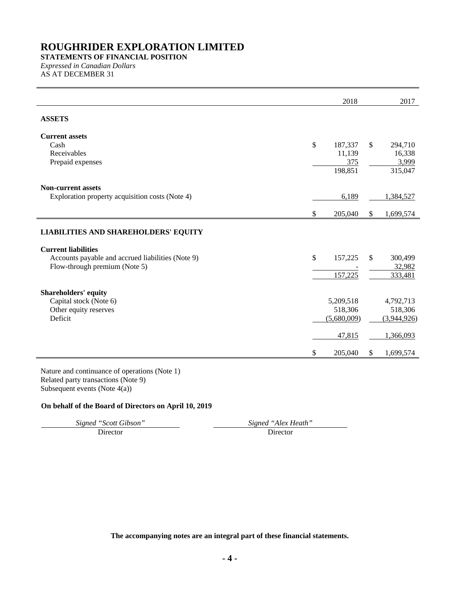# **STATEMENTS OF FINANCIAL POSITION** *Expressed in Canadian Dollars*

AS AT DECEMBER 31

| \$<br>187,337<br>11,139<br>375<br>198,851 | \$                            | 294,710<br>16,338<br>3,999 |
|-------------------------------------------|-------------------------------|----------------------------|
|                                           |                               |                            |
|                                           |                               |                            |
|                                           |                               |                            |
|                                           |                               |                            |
|                                           |                               |                            |
|                                           |                               | 315,047                    |
|                                           |                               |                            |
| 6,189                                     |                               | 1,384,527                  |
| \$<br>205,040                             | \$                            | 1,699,574                  |
|                                           |                               |                            |
|                                           |                               |                            |
|                                           |                               |                            |
|                                           |                               | 300,499                    |
|                                           |                               | 32,982                     |
|                                           |                               | 333,481                    |
|                                           |                               |                            |
| 5,209,518                                 |                               | 4,792,713                  |
| 518,306                                   |                               | 518,306                    |
| (5,680,009)                               |                               | (3,944,926)                |
| 47,815                                    |                               | 1,366,093                  |
|                                           |                               | 1,699,574                  |
| \$<br>\$                                  | 157,225<br>157,225<br>205,040 | \$<br>\$                   |

# **On behalf of the Board of Directors on April 10, 2019**

*Signed "Scott Gibson" Signed "Alex Heath"*

Director Director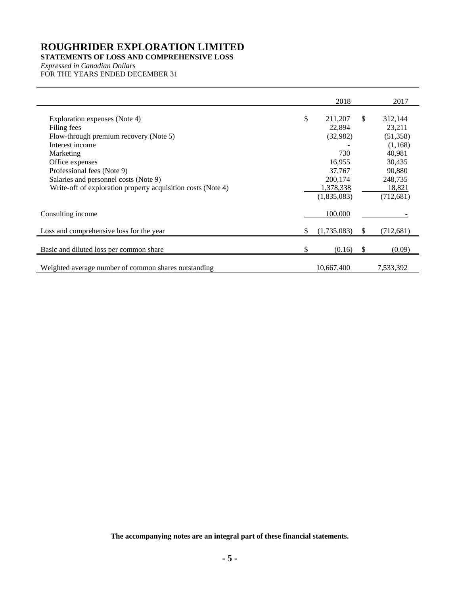# **STATEMENTS OF LOSS AND COMPREHENSIVE LOSS**

*Expressed in Canadian Dollars* FOR THE YEARS ENDED DECEMBER 31

|                                                                                                                                                                                                                                                                                  | 2018                                                                                                  |              | 2017                                                                                                       |
|----------------------------------------------------------------------------------------------------------------------------------------------------------------------------------------------------------------------------------------------------------------------------------|-------------------------------------------------------------------------------------------------------|--------------|------------------------------------------------------------------------------------------------------------|
| Exploration expenses (Note 4)<br>Filing fees<br>Flow-through premium recovery (Note 5)<br>Interest income<br>Marketing<br>Office expenses<br>Professional fees (Note 9)<br>Salaries and personnel costs (Note 9)<br>Write-off of exploration property acquisition costs (Note 4) | \$<br>211,207<br>22,894<br>(32,982)<br>730<br>16,955<br>37,767<br>200,174<br>1,378,338<br>(1,835,083) | $\mathbb{S}$ | 312,144<br>23,211<br>(51, 358)<br>(1,168)<br>40,981<br>30,435<br>90,880<br>248,735<br>18,821<br>(712, 681) |
| Consulting income                                                                                                                                                                                                                                                                | 100,000                                                                                               |              |                                                                                                            |
| Loss and comprehensive loss for the year                                                                                                                                                                                                                                         | \$<br>(1,735,083)                                                                                     | \$.          | (712,681)                                                                                                  |
| Basic and diluted loss per common share                                                                                                                                                                                                                                          | \$<br>(0.16)                                                                                          | \$           | (0.09)                                                                                                     |
| Weighted average number of common shares outstanding                                                                                                                                                                                                                             | 10,667,400                                                                                            |              | 7,533,392                                                                                                  |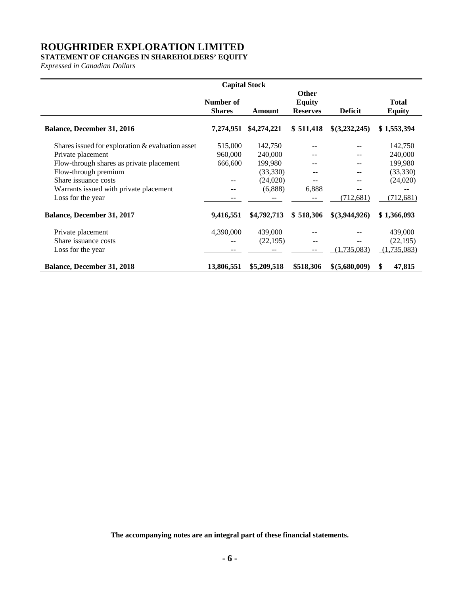# **STATEMENT OF CHANGES IN SHAREHOLDERS' EQUITY**

*Expressed in Canadian Dollars*

|                                                     | <b>Capital Stock</b>       |             |                                                  |                |                               |
|-----------------------------------------------------|----------------------------|-------------|--------------------------------------------------|----------------|-------------------------------|
|                                                     | Number of<br><b>Shares</b> | Amount      | <b>Other</b><br><b>Equity</b><br><b>Reserves</b> | <b>Deficit</b> | <b>Total</b><br><b>Equity</b> |
| Balance, December 31, 2016                          | 7,274,951                  | \$4,274,221 | \$511,418                                        | \$(3,232,245)  | \$1,553,394                   |
| Shares issued for exploration $\&$ evaluation asset | 515,000                    | 142,750     |                                                  |                | 142,750                       |
| Private placement                                   | 960,000                    | 240,000     |                                                  |                | 240,000                       |
| Flow-through shares as private placement            | 666,600                    | 199,980     |                                                  | --             | 199,980                       |
| Flow-through premium                                |                            | (33,330)    |                                                  | --             | (33,330)                      |
| Share issuance costs                                |                            | (24,020)    |                                                  | --             | (24,020)                      |
| Warrants issued with private placement              |                            | (6,888)     | 6,888                                            |                |                               |
| Loss for the year                                   |                            |             |                                                  | (712, 681)     | (712, 681)                    |
| <b>Balance, December 31, 2017</b>                   | 9,416,551                  | \$4,792,713 | \$518,306                                        | \$(3,944,926)  | \$1,366,093                   |
| Private placement                                   | 4,390,000                  | 439,000     |                                                  |                | 439,000                       |
| Share issuance costs                                |                            | (22, 195)   | $\overline{\phantom{a}}$                         | --             | (22, 195)                     |
| Loss for the year                                   |                            |             |                                                  | (1,735,083)    | (1,735,083)                   |
| <b>Balance, December 31, 2018</b>                   | 13,806,551                 | \$5,209,518 | \$518,306                                        | \$ (5,680,009) | \$<br>47,815                  |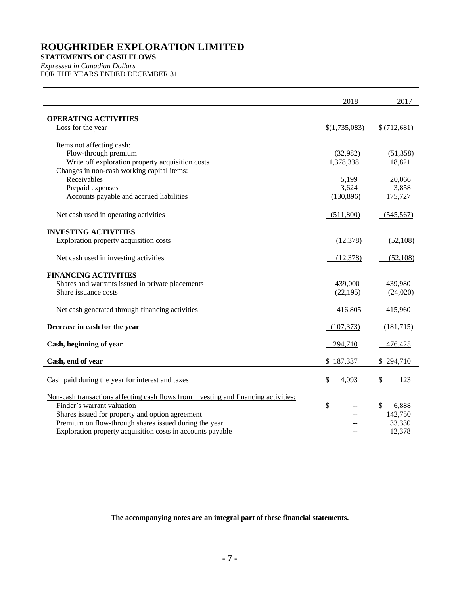# **STATEMENTS OF CASH FLOWS**

*Expressed in Canadian Dollars* FOR THE YEARS ENDED DECEMBER 31

|                                                                                                          | 2018          | 2017              |
|----------------------------------------------------------------------------------------------------------|---------------|-------------------|
| <b>OPERATING ACTIVITIES</b><br>Loss for the year                                                         | \$(1,735,083) | \$(712,681)       |
|                                                                                                          |               |                   |
| Items not affecting cash:<br>Flow-through premium                                                        | (32,982)      | (51, 358)         |
| Write off exploration property acquisition costs                                                         | 1,378,338     | 18,821            |
| Changes in non-cash working capital items:                                                               |               |                   |
| Receivables                                                                                              | 5,199         | 20,066            |
| Prepaid expenses                                                                                         | 3,624         | 3,858             |
| Accounts payable and accrued liabilities                                                                 | (130, 896)    | 175,727           |
| Net cash used in operating activities                                                                    | (511,800)     | (545, 567)        |
| <b>INVESTING ACTIVITIES</b>                                                                              |               |                   |
| Exploration property acquisition costs                                                                   | (12, 378)     | (52,108)          |
| Net cash used in investing activities                                                                    | (12,378)      | (52, 108)         |
|                                                                                                          |               |                   |
| <b>FINANCING ACTIVITIES</b>                                                                              |               |                   |
| Shares and warrants issued in private placements                                                         | 439,000       | 439,980           |
| Share issuance costs                                                                                     | (22, 195)     | (24,020)          |
| Net cash generated through financing activities                                                          | 416,805       | 415,960           |
| Decrease in cash for the year                                                                            | (107, 373)    | (181, 715)        |
| Cash, beginning of year                                                                                  | 294,710       | 476,425           |
| Cash, end of year                                                                                        | \$187,337     | \$294,710         |
| Cash paid during the year for interest and taxes                                                         | \$<br>4,093   | \$<br>123         |
|                                                                                                          |               |                   |
| Non-cash transactions affecting cash flows from investing and financing activities:                      |               |                   |
| Finder's warrant valuation                                                                               | \$<br>$-$     | \$<br>6,888       |
| Shares issued for property and option agreement<br>Premium on flow-through shares issued during the year |               | 142,750<br>33,330 |
| Exploration property acquisition costs in accounts payable                                               |               | 12,378            |
|                                                                                                          |               |                   |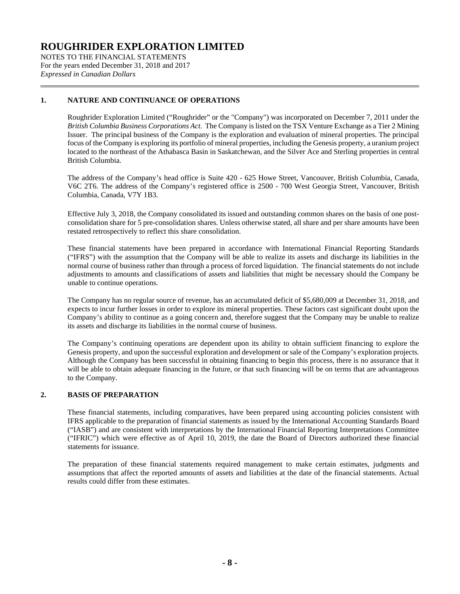NOTES TO THE FINANCIAL STATEMENTS For the years ended December 31, 2018 and 2017 *Expressed in Canadian Dollars*

# **1. NATURE AND CONTINUANCE OF OPERATIONS**

Roughrider Exploration Limited ("Roughrider" or the "Company") was incorporated on December 7, 2011 under the *British Columbia Business Corporations Act*. The Company is listed on the TSX Venture Exchange as a Tier 2 Mining Issuer. The principal business of the Company is the exploration and evaluation of mineral properties. The principal focus of the Company is exploring its portfolio of mineral properties, including the Genesis property, a uranium project located to the northeast of the Athabasca Basin in Saskatchewan, and the Silver Ace and Sterling properties in central British Columbia.

The address of the Company's head office is Suite 420 - 625 Howe Street, Vancouver, British Columbia, Canada, V6C 2T6. The address of the Company's registered office is 2500 - 700 West Georgia Street, Vancouver, British Columbia, Canada, V7Y 1B3.

Effective July 3, 2018, the Company consolidated its issued and outstanding common shares on the basis of one postconsolidation share for 5 pre-consolidation shares. Unless otherwise stated, all share and per share amounts have been restated retrospectively to reflect this share consolidation.

These financial statements have been prepared in accordance with International Financial Reporting Standards ("IFRS") with the assumption that the Company will be able to realize its assets and discharge its liabilities in the normal course of business rather than through a process of forced liquidation. The financial statements do not include adjustments to amounts and classifications of assets and liabilities that might be necessary should the Company be unable to continue operations.

The Company has no regular source of revenue, has an accumulated deficit of \$5,680,009 at December 31, 2018, and expects to incur further losses in order to explore its mineral properties. These factors cast significant doubt upon the Company's ability to continue as a going concern and, therefore suggest that the Company may be unable to realize its assets and discharge its liabilities in the normal course of business.

The Company's continuing operations are dependent upon its ability to obtain sufficient financing to explore the Genesis property, and upon the successful exploration and development or sale of the Company's exploration projects. Although the Company has been successful in obtaining financing to begin this process, there is no assurance that it will be able to obtain adequate financing in the future, or that such financing will be on terms that are advantageous to the Company.

### **2. BASIS OF PREPARATION**

These financial statements, including comparatives, have been prepared using accounting policies consistent with IFRS applicable to the preparation of financial statements as issued by the International Accounting Standards Board ("IASB") and are consistent with interpretations by the International Financial Reporting Interpretations Committee ("IFRIC") which were effective as of April 10, 2019, the date the Board of Directors authorized these financial statements for issuance.

The preparation of these financial statements required management to make certain estimates, judgments and assumptions that affect the reported amounts of assets and liabilities at the date of the financial statements. Actual results could differ from these estimates.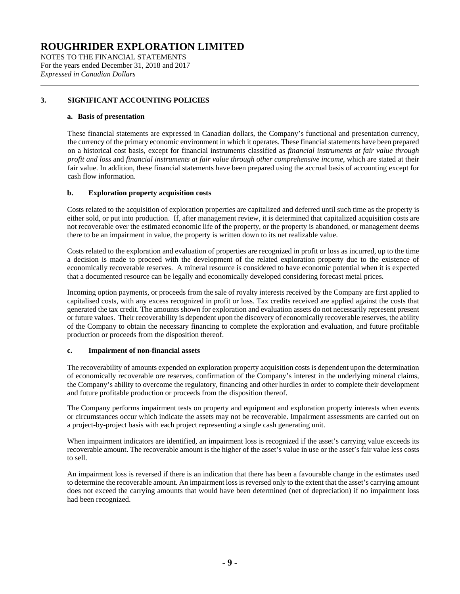NOTES TO THE FINANCIAL STATEMENTS For the years ended December 31, 2018 and 2017 *Expressed in Canadian Dollars*

# <span id="page-8-0"></span>**3. SIGNIFICANT ACCOUNTING POLICIES**

#### **a. Basis of presentation**

These financial statements are expressed in Canadian dollars, the Company's functional and presentation currency, the currency of the primary economic environment in which it operates. These financial statements have been prepared on a historical cost basis, except for financial instruments classified as *financial instruments at fair value through profit and loss* and *financial instruments at fair value through other comprehensive income*, which are stated at their fair value. In addition, these financial statements have been prepared using the accrual basis of accounting except for cash flow information.

### **b. Exploration property acquisition costs**

Costs related to the acquisition of exploration properties are capitalized and deferred until such time as the property is either sold, or put into production. If, after management review, it is determined that capitalized acquisition costs are not recoverable over the estimated economic life of the property, or the property is abandoned, or management deems there to be an impairment in value, the property is written down to its net realizable value.

Costs related to the exploration and evaluation of properties are recognized in profit or loss as incurred, up to the time a decision is made to proceed with the development of the related exploration property due to the existence of economically recoverable reserves. A mineral resource is considered to have economic potential when it is expected that a documented resource can be legally and economically developed considering forecast metal prices.

Incoming option payments, or proceeds from the sale of royalty interests received by the Company are first applied to capitalised costs, with any excess recognized in profit or loss. Tax credits received are applied against the costs that generated the tax credit. The amounts shown for exploration and evaluation assets do not necessarily represent present or future values. Their recoverability is dependent upon the discovery of economically recoverable reserves, the ability of the Company to obtain the necessary financing to complete the exploration and evaluation, and future profitable production or proceeds from the disposition thereof.

# **c. Impairment of non-financial assets**

The recoverability of amounts expended on exploration property acquisition costs is dependent upon the determination of economically recoverable ore reserves, confirmation of the Company's interest in the underlying mineral claims, the Company's ability to overcome the regulatory, financing and other hurdles in order to complete their development and future profitable production or proceeds from the disposition thereof.

The Company performs impairment tests on property and equipment and exploration property interests when events or circumstances occur which indicate the assets may not be recoverable. Impairment assessments are carried out on a project-by-project basis with each project representing a single cash generating unit.

When impairment indicators are identified, an impairment loss is recognized if the asset's carrying value exceeds its recoverable amount. The recoverable amount is the higher of the asset's value in use or the asset's fair value less costs to sell.

An impairment loss is reversed if there is an indication that there has been a favourable change in the estimates used to determine the recoverable amount. An impairment loss is reversed only to the extent that the asset's carrying amount does not exceed the carrying amounts that would have been determined (net of depreciation) if no impairment loss had been recognized.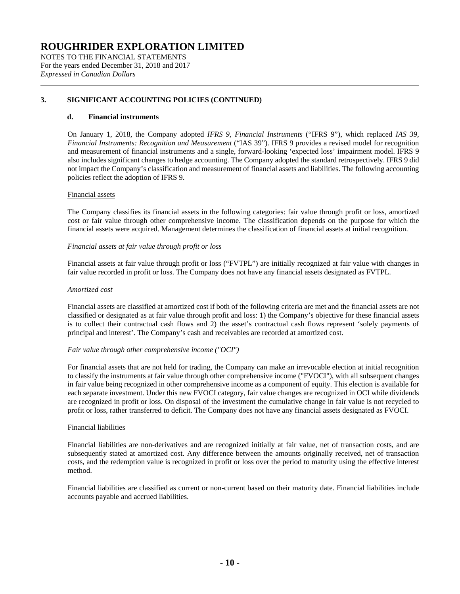NOTES TO THE FINANCIAL STATEMENTS For the years ended December 31, 2018 and 2017 *Expressed in Canadian Dollars*

# **[3.](#page-8-0) SIGNIFICANT ACCOUNTING POLICIES (CONTINUED)**

### **d. Financial instruments**

On January 1, 2018, the Company adopted *IFRS 9, Financial Instruments* ("IFRS 9"), which replaced *IAS 39, Financial Instruments: Recognition and Measurement* ("IAS 39"). IFRS 9 provides a revised model for recognition and measurement of financial instruments and a single, forward-looking 'expected loss' impairment model. IFRS 9 also includes significant changes to hedge accounting. The Company adopted the standard retrospectively. IFRS 9 did not impact the Company's classification and measurement of financial assets and liabilities. The following accounting policies reflect the adoption of IFRS 9.

#### Financial assets

The Company classifies its financial assets in the following categories: fair value through profit or loss, amortized cost or fair value through other comprehensive income. The classification depends on the purpose for which the financial assets were acquired. Management determines the classification of financial assets at initial recognition.

#### *Financial assets at fair value through profit or loss*

Financial assets at fair value through profit or loss ("FVTPL") are initially recognized at fair value with changes in fair value recorded in profit or loss. The Company does not have any financial assets designated as FVTPL.

#### *Amortized cost*

Financial assets are classified at amortized cost if both of the following criteria are met and the financial assets are not classified or designated as at fair value through profit and loss: 1) the Company's objective for these financial assets is to collect their contractual cash flows and 2) the asset's contractual cash flows represent 'solely payments of principal and interest'. The Company's cash and receivables are recorded at amortized cost.

#### *Fair value through other comprehensive income ("OCI")*

For financial assets that are not held for trading, the Company can make an irrevocable election at initial recognition to classify the instruments at fair value through other comprehensive income ("FVOCI"), with all subsequent changes in fair value being recognized in other comprehensive income as a component of equity. This election is available for each separate investment. Under this new FVOCI category, fair value changes are recognized in OCI while dividends are recognized in profit or loss. On disposal of the investment the cumulative change in fair value is not recycled to profit or loss, rather transferred to deficit. The Company does not have any financial assets designated as FVOCI.

#### Financial liabilities

Financial liabilities are non-derivatives and are recognized initially at fair value, net of transaction costs, and are subsequently stated at amortized cost. Any difference between the amounts originally received, net of transaction costs, and the redemption value is recognized in profit or loss over the period to maturity using the effective interest method.

Financial liabilities are classified as current or non-current based on their maturity date. Financial liabilities include accounts payable and accrued liabilities.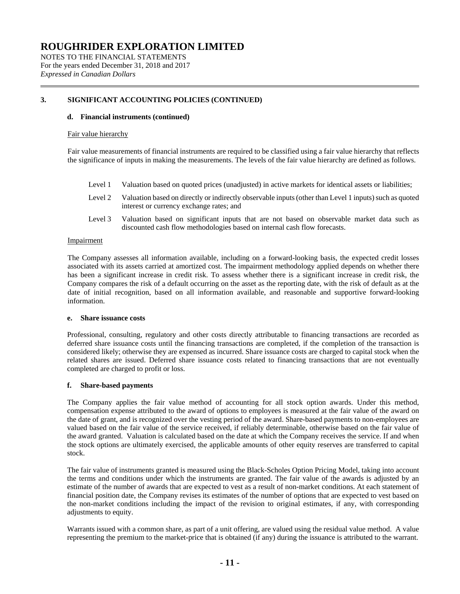NOTES TO THE FINANCIAL STATEMENTS For the years ended December 31, 2018 and 2017 *Expressed in Canadian Dollars*

### **[3.](#page-8-0) SIGNIFICANT ACCOUNTING POLICIES (CONTINUED)**

#### **d. Financial instruments (continued)**

#### Fair value hierarchy

Fair value measurements of financial instruments are required to be classified using a fair value hierarchy that reflects the significance of inputs in making the measurements. The levels of the fair value hierarchy are defined as follows.

- Level 1 Valuation based on quoted prices (unadjusted) in active markets for identical assets or liabilities;
- Level 2 Valuation based on directly or indirectly observable inputs (other than Level 1 inputs) such as quoted interest or currency exchange rates; and
- Level 3 Valuation based on significant inputs that are not based on observable market data such as discounted cash flow methodologies based on internal cash flow forecasts.

#### Impairment

The Company assesses all information available, including on a forward-looking basis, the expected credit losses associated with its assets carried at amortized cost. The impairment methodology applied depends on whether there has been a significant increase in credit risk. To assess whether there is a significant increase in credit risk, the Company compares the risk of a default occurring on the asset as the reporting date, with the risk of default as at the date of initial recognition, based on all information available, and reasonable and supportive forward-looking information.

#### **e. Share issuance costs**

Professional, consulting, regulatory and other costs directly attributable to financing transactions are recorded as deferred share issuance costs until the financing transactions are completed, if the completion of the transaction is considered likely; otherwise they are expensed as incurred. Share issuance costs are charged to capital stock when the related shares are issued. Deferred share issuance costs related to financing transactions that are not eventually completed are charged to profit or loss.

### **f. Share-based payments**

The Company applies the fair value method of accounting for all stock option awards. Under this method, compensation expense attributed to the award of options to employees is measured at the fair value of the award on the date of grant, and is recognized over the vesting period of the award. Share-based payments to non-employees are valued based on the fair value of the service received, if reliably determinable, otherwise based on the fair value of the award granted. Valuation is calculated based on the date at which the Company receives the service. If and when the stock options are ultimately exercised, the applicable amounts of other equity reserves are transferred to capital stock.

The fair value of instruments granted is measured using the Black-Scholes Option Pricing Model, taking into account the terms and conditions under which the instruments are granted. The fair value of the awards is adjusted by an estimate of the number of awards that are expected to vest as a result of non-market conditions. At each statement of financial position date, the Company revises its estimates of the number of options that are expected to vest based on the non-market conditions including the impact of the revision to original estimates, if any, with corresponding adjustments to equity.

Warrants issued with a common share, as part of a unit offering, are valued using the residual value method. A value representing the premium to the market-price that is obtained (if any) during the issuance is attributed to the warrant.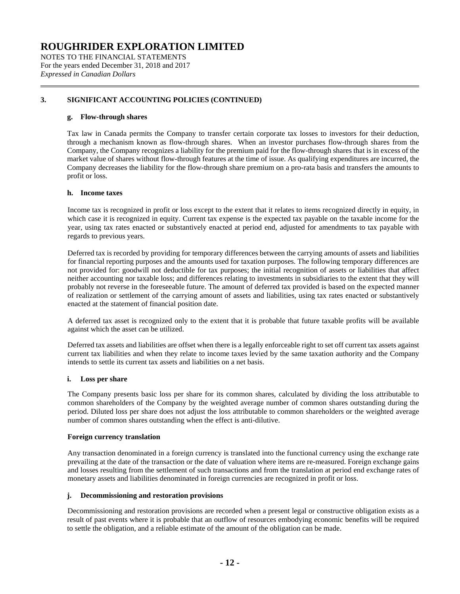NOTES TO THE FINANCIAL STATEMENTS For the years ended December 31, 2018 and 2017 *Expressed in Canadian Dollars*

# **[3.](#page-8-0) SIGNIFICANT ACCOUNTING POLICIES (CONTINUED)**

### **g. Flow-through shares**

Tax law in Canada permits the Company to transfer certain corporate tax losses to investors for their deduction, through a mechanism known as flow-through shares. When an investor purchases flow-through shares from the Company, the Company recognizes a liability for the premium paid for the flow-through shares that is in excess of the market value of shares without flow-through features at the time of issue. As qualifying expenditures are incurred, the Company decreases the liability for the flow-through share premium on a pro-rata basis and transfers the amounts to profit or loss.

#### **h. Income taxes**

Income tax is recognized in profit or loss except to the extent that it relates to items recognized directly in equity, in which case it is recognized in equity. Current tax expense is the expected tax payable on the taxable income for the year, using tax rates enacted or substantively enacted at period end, adjusted for amendments to tax payable with regards to previous years.

Deferred tax is recorded by providing for temporary differences between the carrying amounts of assets and liabilities for financial reporting purposes and the amounts used for taxation purposes. The following temporary differences are not provided for: goodwill not deductible for tax purposes; the initial recognition of assets or liabilities that affect neither accounting nor taxable loss; and differences relating to investments in subsidiaries to the extent that they will probably not reverse in the foreseeable future. The amount of deferred tax provided is based on the expected manner of realization or settlement of the carrying amount of assets and liabilities, using tax rates enacted or substantively enacted at the statement of financial position date.

A deferred tax asset is recognized only to the extent that it is probable that future taxable profits will be available against which the asset can be utilized.

Deferred tax assets and liabilities are offset when there is a legally enforceable right to set off current tax assets against current tax liabilities and when they relate to income taxes levied by the same taxation authority and the Company intends to settle its current tax assets and liabilities on a net basis.

#### **i. Loss per share**

The Company presents basic loss per share for its common shares, calculated by dividing the loss attributable to common shareholders of the Company by the weighted average number of common shares outstanding during the period. Diluted loss per share does not adjust the loss attributable to common shareholders or the weighted average number of common shares outstanding when the effect is anti-dilutive.

#### **Foreign currency translation**

Any transaction denominated in a foreign currency is translated into the functional currency using the exchange rate prevailing at the date of the transaction or the date of valuation where items are re-measured. Foreign exchange gains and losses resulting from the settlement of such transactions and from the translation at period end exchange rates of monetary assets and liabilities denominated in foreign currencies are recognized in profit or loss.

### **j. Decommissioning and restoration provisions**

Decommissioning and restoration provisions are recorded when a present legal or constructive obligation exists as a result of past events where it is probable that an outflow of resources embodying economic benefits will be required to settle the obligation, and a reliable estimate of the amount of the obligation can be made.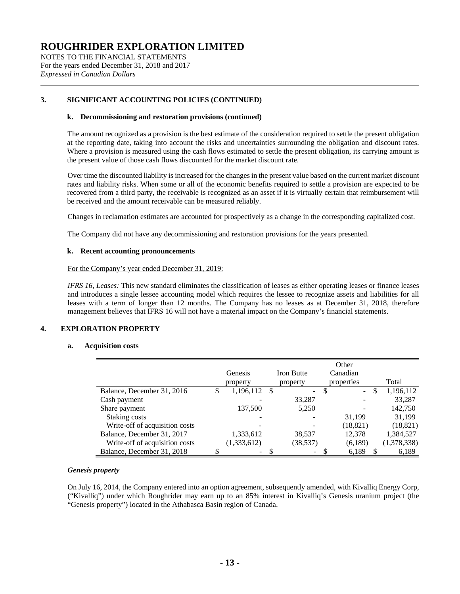NOTES TO THE FINANCIAL STATEMENTS For the years ended December 31, 2018 and 2017 *Expressed in Canadian Dollars*

# **[3.](#page-8-0) SIGNIFICANT ACCOUNTING POLICIES (CONTINUED)**

#### **k. Decommissioning and restoration provisions (continued)**

The amount recognized as a provision is the best estimate of the consideration required to settle the present obligation at the reporting date, taking into account the risks and uncertainties surrounding the obligation and discount rates. Where a provision is measured using the cash flows estimated to settle the present obligation, its carrying amount is the present value of those cash flows discounted for the market discount rate.

Over time the discounted liability is increased for the changes in the present value based on the current market discount rates and liability risks. When some or all of the economic benefits required to settle a provision are expected to be recovered from a third party, the receivable is recognized as an asset if it is virtually certain that reimbursement will be received and the amount receivable can be measured reliably.

Changes in reclamation estimates are accounted for prospectively as a change in the corresponding capitalized cost.

The Company did not have any decommissioning and restoration provisions for the years presented.

#### **k. Recent accounting pronouncements**

#### For the Company's year ended December 31, 2019:

*IFRS 16, Leases:* This new standard eliminates the classification of leases as either operating leases or finance leases and introduces a single lessee accounting model which requires the lessee to recognize assets and liabilities for all leases with a term of longer than 12 months. The Company has no leases as at December 31, 2018, therefore management believes that IFRS 16 will not have a material impact on the Company's financial statements.

### **4. EXPLORATION PROPERTY**

#### **a. Acquisition costs**

|                                |   | Genesis     |      | <b>Iron Butte</b>        |   | Other<br>Canadian |               |             |
|--------------------------------|---|-------------|------|--------------------------|---|-------------------|---------------|-------------|
|                                |   | property    |      | property                 |   | properties        |               | Total       |
| Balance, December 31, 2016     | S | 1,196,112   | - \$ | -                        | S | $\overline{a}$    | <sup>\$</sup> | 1,196,112   |
| Cash payment                   |   |             |      | 33,287                   |   |                   |               | 33.287      |
| Share payment                  |   | 137,500     |      | 5,250                    |   |                   |               | 142,750     |
| Staking costs                  |   |             |      |                          |   | 31,199            |               | 31,199      |
| Write-off of acquisition costs |   |             |      |                          |   | (18, 821)         |               | (18, 821)   |
| Balance, December 31, 2017     |   | 1,333,612   |      | 38,537                   |   | 12,378            |               | 1,384,527   |
| Write-off of acquisition costs |   | (1,333,612) |      | (38,537)                 |   | (6,189)           |               | (1,378,338) |
| Balance, December 31, 2018     |   | -           |      | $\overline{\phantom{a}}$ |   | 6,189             |               | 6,189       |

### *Genesis property*

On July 16, 2014, the Company entered into an option agreement, subsequently amended, with Kivalliq Energy Corp, ("Kivalliq") under which Roughrider may earn up to an 85% interest in Kivalliq's Genesis uranium project (the "Genesis property") located in the Athabasca Basin region of Canada.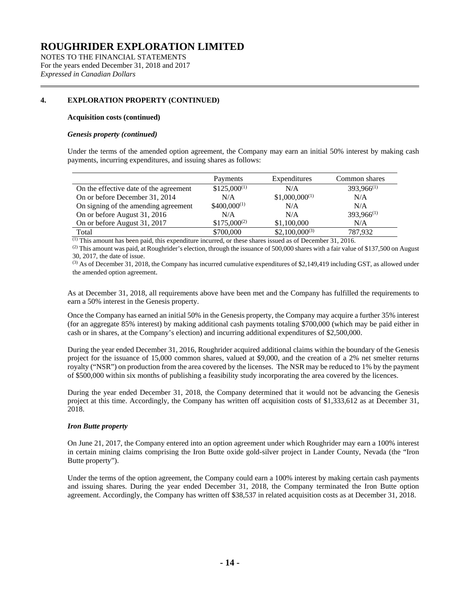NOTES TO THE FINANCIAL STATEMENTS For the years ended December 31, 2018 and 2017 *Expressed in Canadian Dollars*

# **4. EXPLORATION PROPERTY (CONTINUED)**

#### **Acquisition costs (continued)**

#### *Genesis property (continued)*

Under the terms of the amended option agreement, the Company may earn an initial 50% interest by making cash payments, incurring expenditures, and issuing shares as follows:

|                                        | Payments         | Expenditures       | Common shares   |
|----------------------------------------|------------------|--------------------|-----------------|
| On the effective date of the agreement | $$125,000^{(1)}$ | N/A                | $393,966^{(1)}$ |
| On or before December 31, 2014         | N/A              | $$1,000,000^{(1)}$ | N/A             |
| On signing of the amending agreement   | $$400,000^{(1)}$ | N/A                | N/A             |
| On or before August 31, 2016           | N/A              | N/A                | 393,966(1)      |
| On or before August 31, 2017           | $$175,000^{(2)}$ | \$1,100,000        | N/A             |
| Total                                  | \$700,000        | $$2,100,000^{(3)}$ | 787,932         |

(1) This amount has been paid, this expenditure incurred, or these shares issued as of December 31, 2016.

 $^{(2)}$  This amount was paid, at Roughrider's election, through the issuance of 500,000 shares with a fair value of \$137,500 on August 30, 2017, the date of issue.

 $^{(3)}$  As of December 31, 2018, the Company has incurred cumulative expenditures of \$2,149,419 including GST, as allowed under the amended option agreement.

As at December 31, 2018, all requirements above have been met and the Company has fulfilled the requirements to earn a 50% interest in the Genesis property.

Once the Company has earned an initial 50% in the Genesis property, the Company may acquire a further 35% interest (for an aggregate 85% interest) by making additional cash payments totaling \$700,000 (which may be paid either in cash or in shares, at the Company's election) and incurring additional expenditures of \$2,500,000.

During the year ended December 31, 2016, Roughrider acquired additional claims within the boundary of the Genesis project for the issuance of 15,000 common shares, valued at \$9,000, and the creation of a 2% net smelter returns royalty ("NSR") on production from the area covered by the licenses. The NSR may be reduced to 1% by the payment of \$500,000 within six months of publishing a feasibility study incorporating the area covered by the licences.

During the year ended December 31, 2018, the Company determined that it would not be advancing the Genesis project at this time. Accordingly, the Company has written off acquisition costs of \$1,333,612 as at December 31, 2018.

### *Iron Butte property*

On June 21, 2017, the Company entered into an option agreement under which Roughrider may earn a 100% interest in certain mining claims comprising the Iron Butte oxide gold-silver project in Lander County, Nevada (the "Iron Butte property").

Under the terms of the option agreement, the Company could earn a 100% interest by making certain cash payments and issuing shares. During the year ended December 31, 2018, the Company terminated the Iron Butte option agreement. Accordingly, the Company has written off \$38,537 in related acquisition costs as at December 31, 2018.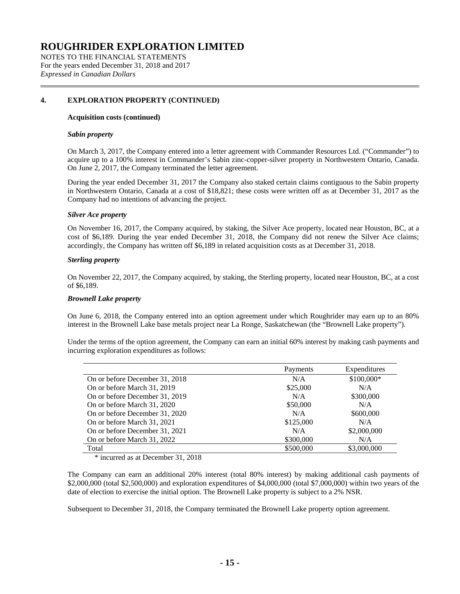NOTES TO THE FINANCIAL STATEMENTS For the years ended December 31, 2018 and 2017 *Expressed in Canadian Dollars*

# **4. EXPLORATION PROPERTY (CONTINUED)**

#### **Acquisition costs (continued)**

#### *Sabin property*

On March 3, 2017, the Company entered into a letter agreement with Commander Resources Ltd. ("Commander") to acquire up to a 100% interest in Commander's Sabin zinc-copper-silver property in Northwestern Ontario, Canada. On June 2, 2017, the Company terminated the letter agreement.

During the year ended December 31, 2017 the Company also staked certain claims contiguous to the Sabin property in Northwestern Ontario, Canada at a cost of \$18,821; these costs were written off as at December 31, 2017 as the Company had no intentions of advancing the project.

### *Silver Ace property*

On November 16, 2017, the Company acquired, by staking, the Silver Ace property, located near Houston, BC, at a cost of \$6,189. During the year ended December 31, 2018, the Company did not renew the Silver Ace claims; accordingly, the Company has written off \$6,189 in related acquisition costs as at December 31, 2018.

### *Sterling property*

On November 22, 2017, the Company acquired, by staking, the Sterling property, located near Houston, BC, at a cost of \$6,189.

#### *Brownell Lake property*

On June 6, 2018, the Company entered into an option agreement under which Roughrider may earn up to an 80% interest in the Brownell Lake base metals project near La Ronge, Saskatchewan (the "Brownell Lake property").

Under the terms of the option agreement, the Company can earn an initial 60% interest by making cash payments and incurring exploration expenditures as follows:

|                                | Payments  | Expenditures |
|--------------------------------|-----------|--------------|
| On or before December 31, 2018 | N/A       | \$100,000*   |
| On or before March 31, 2019    | \$25,000  | N/A          |
| On or before December 31, 2019 | N/A       | \$300,000    |
| On or before March 31, 2020    | \$50,000  | N/A          |
| On or before December 31, 2020 | N/A       | \$600,000    |
| On or before March 31, 2021    | \$125,000 | N/A          |
| On or before December 31, 2021 | N/A       | \$2,000,000  |
| On or before March 31, 2022    | \$300,000 | N/A          |
| Total                          | \$500,000 | \$3,000,000  |

\* incurred as at December 31, 2018

The Company can earn an additional 20% interest (total 80% interest) by making additional cash payments of \$2,000,000 (total \$2,500,000) and exploration expenditures of \$4,000,000 (total \$7,000,000) within two years of the date of election to exercise the initial option. The Brownell Lake property is subject to a 2% NSR.

Subsequent to December 31, 2018, the Company terminated the Brownell Lake property option agreement.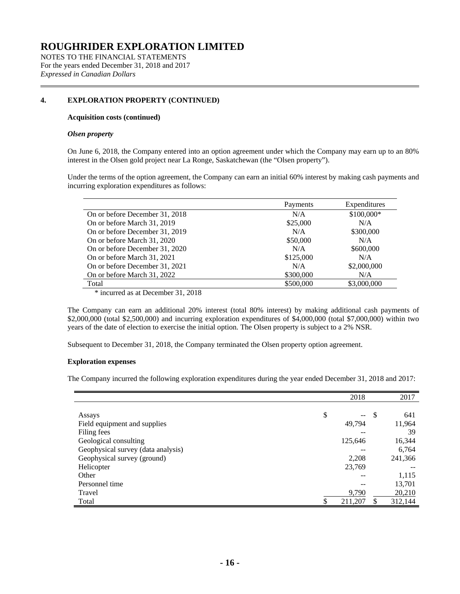NOTES TO THE FINANCIAL STATEMENTS For the years ended December 31, 2018 and 2017 *Expressed in Canadian Dollars*

# **4. EXPLORATION PROPERTY (CONTINUED)**

#### **Acquisition costs (continued)**

#### *Olsen property*

On June 6, 2018, the Company entered into an option agreement under which the Company may earn up to an 80% interest in the Olsen gold project near La Ronge, Saskatchewan (the "Olsen property").

Under the terms of the option agreement, the Company can earn an initial 60% interest by making cash payments and incurring exploration expenditures as follows:

|                                      | Payments  | Expenditures |
|--------------------------------------|-----------|--------------|
| On or before December 31, 2018       | N/A       | \$100,000*   |
| On or before March 31, 2019          | \$25,000  | N/A          |
| On or before December 31, 2019       | N/A       | \$300,000    |
| On or before March 31, 2020          | \$50,000  | N/A          |
| On or before December 31, 2020       | N/A       | \$600,000    |
| On or before March 31, 2021          | \$125,000 | N/A          |
| On or before December 31, 2021       | N/A       | \$2,000,000  |
| On or before March 31, 2022          | \$300,000 | N/A          |
| Total                                | \$500,000 | \$3,000,000  |
| $*$ inquired as at December 21, 2019 |           |              |

\* incurred as at December 31, 2018

The Company can earn an additional 20% interest (total 80% interest) by making additional cash payments of \$2,000,000 (total \$2,500,000) and incurring exploration expenditures of \$4,000,000 (total \$7,000,000) within two years of the date of election to exercise the initial option. The Olsen property is subject to a 2% NSR.

Subsequent to December 31, 2018, the Company terminated the Olsen property option agreement.

#### **Exploration expenses**

The Company incurred the following exploration expenditures during the year ended December 31, 2018 and 2017:

|                                    | 2018               |     | 2017    |
|------------------------------------|--------------------|-----|---------|
|                                    |                    |     |         |
| Assays                             | \$<br>$\mathbf{u}$ | -\$ | 641     |
| Field equipment and supplies       | 49,794             |     | 11,964  |
| Filing fees                        | --                 |     | 39      |
| Geological consulting              | 125,646            |     | 16,344  |
| Geophysical survey (data analysis) |                    |     | 6,764   |
| Geophysical survey (ground)        | 2,208              |     | 241,366 |
| Helicopter                         | 23,769             |     |         |
| Other                              | --                 |     | 1,115   |
| Personnel time                     |                    |     | 13,701  |
| Travel                             | 9,790              |     | 20,210  |
| Total                              | 211,207            |     | 312,144 |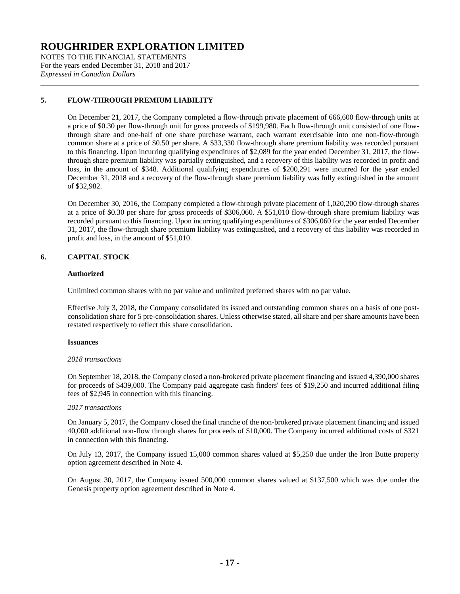NOTES TO THE FINANCIAL STATEMENTS For the years ended December 31, 2018 and 2017 *Expressed in Canadian Dollars*

# **5. FLOW-THROUGH PREMIUM LIABILITY**

On December 21, 2017, the Company completed a flow-through private placement of 666,600 flow-through units at a price of \$0.30 per flow-through unit for gross proceeds of \$199,980. Each flow-through unit consisted of one flowthrough share and one-half of one share purchase warrant, each warrant exercisable into one non-flow-through common share at a price of \$0.50 per share. A \$33,330 flow-through share premium liability was recorded pursuant to this financing. Upon incurring qualifying expenditures of \$2,089 for the year ended December 31, 2017, the flowthrough share premium liability was partially extinguished, and a recovery of this liability was recorded in profit and loss, in the amount of \$348. Additional qualifying expenditures of \$200,291 were incurred for the year ended December 31, 2018 and a recovery of the flow-through share premium liability was fully extinguished in the amount of \$32,982.

On December 30, 2016, the Company completed a flow-through private placement of 1,020,200 flow-through shares at a price of \$0.30 per share for gross proceeds of \$306,060. A \$51,010 flow-through share premium liability was recorded pursuant to this financing. Upon incurring qualifying expenditures of \$306,060 for the year ended December 31, 2017, the flow-through share premium liability was extinguished, and a recovery of this liability was recorded in profit and loss, in the amount of \$51,010.

# **6. CAPITAL STOCK**

### **Authorized**

Unlimited common shares with no par value and unlimited preferred shares with no par value.

Effective July 3, 2018, the Company consolidated its issued and outstanding common shares on a basis of one postconsolidation share for 5 pre-consolidation shares. Unless otherwise stated, all share and per share amounts have been restated respectively to reflect this share consolidation.

### **Issuances**

#### *2018 transactions*

On September 18, 2018, the Company closed a non-brokered private placement financing and issued 4,390,000 shares for proceeds of \$439,000. The Company paid aggregate cash finders' fees of \$19,250 and incurred additional filing fees of \$2,945 in connection with this financing.

#### *2017 transactions*

On January 5, 2017, the Company closed the final tranche of the non-brokered private placement financing and issued 40,000 additional non-flow through shares for proceeds of \$10,000. The Company incurred additional costs of \$321 in connection with this financing.

On July 13, 2017, the Company issued 15,000 common shares valued at \$5,250 due under the Iron Butte property option agreement described in Note 4.

On August 30, 2017, the Company issued 500,000 common shares valued at \$137,500 which was due under the Genesis property option agreement described in Note 4.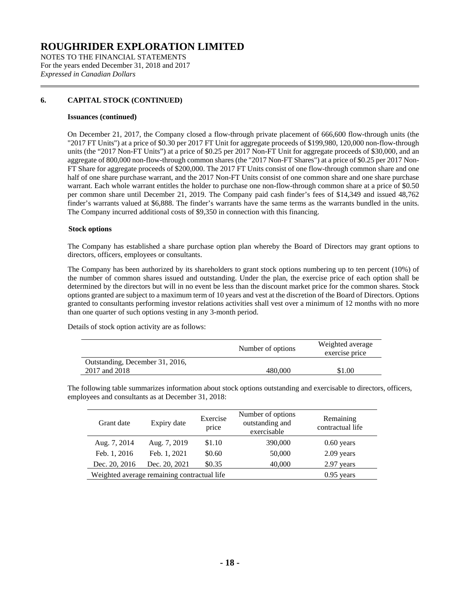NOTES TO THE FINANCIAL STATEMENTS For the years ended December 31, 2018 and 2017 *Expressed in Canadian Dollars*

# **6. CAPITAL STOCK (CONTINUED)**

#### **Issuances (continued)**

On December 21, 2017, the Company closed a flow-through private placement of 666,600 flow-through units (the "2017 FT Units") at a price of \$0.30 per 2017 FT Unit for aggregate proceeds of \$199,980, 120,000 non-flow-through units (the "2017 Non-FT Units") at a price of \$0.25 per 2017 Non-FT Unit for aggregate proceeds of \$30,000, and an aggregate of 800,000 non-flow-through common shares (the "2017 Non-FT Shares") at a price of \$0.25 per 2017 Non-FT Share for aggregate proceeds of \$200,000. The 2017 FT Units consist of one flow-through common share and one half of one share purchase warrant, and the 2017 Non-FT Units consist of one common share and one share purchase warrant. Each whole warrant entitles the holder to purchase one non-flow-through common share at a price of \$0.50 per common share until December 21, 2019. The Company paid cash finder's fees of \$14,349 and issued 48,762 finder's warrants valued at \$6,888. The finder's warrants have the same terms as the warrants bundled in the units. The Company incurred additional costs of \$9,350 in connection with this financing.

### **Stock options**

The Company has established a share purchase option plan whereby the Board of Directors may grant options to directors, officers, employees or consultants.

The Company has been authorized by its shareholders to grant stock options numbering up to ten percent (10%) of the number of common shares issued and outstanding. Under the plan, the exercise price of each option shall be determined by the directors but will in no event be less than the discount market price for the common shares. Stock options granted are subject to a maximum term of 10 years and vest at the discretion of the Board of Directors. Options granted to consultants performing investor relations activities shall vest over a minimum of 12 months with no more than one quarter of such options vesting in any 3-month period.

Details of stock option activity are as follows:

| Number of options | Weighted average<br>exercise price |
|-------------------|------------------------------------|
|                   |                                    |
| 480,000           | \$1.00                             |
|                   |                                    |

The following table summarizes information about stock options outstanding and exercisable to directors, officers, employees and consultants as at December 31, 2018:

| Grant date    | Expiry date                                 | Exercise<br>price | Number of options<br>outstanding and<br>exercisable | Remaining<br>contractual life |
|---------------|---------------------------------------------|-------------------|-----------------------------------------------------|-------------------------------|
| Aug. 7, 2014  | Aug. 7, 2019                                | \$1.10            | 390,000                                             | $0.60$ years                  |
| Feb. 1, 2016  | Feb. 1, 2021                                | \$0.60            | 50,000                                              | $2.09$ years                  |
| Dec. 20, 2016 | Dec. 20, 2021                               | \$0.35            | 40,000                                              | 2.97 years                    |
|               | Weighted average remaining contractual life |                   |                                                     | $0.95$ years                  |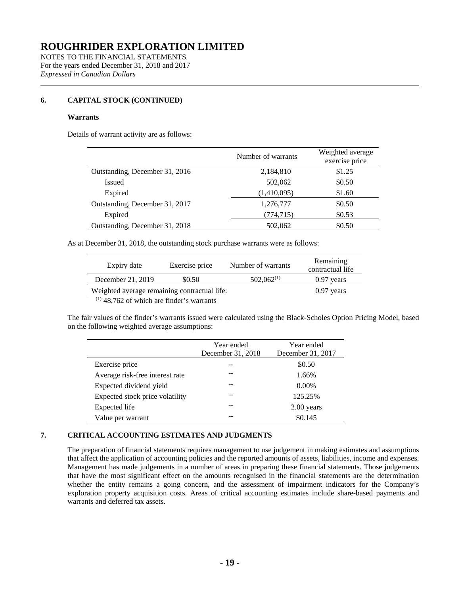NOTES TO THE FINANCIAL STATEMENTS For the years ended December 31, 2018 and 2017 *Expressed in Canadian Dollars*

# **6. CAPITAL STOCK (CONTINUED)**

#### **Warrants**

Details of warrant activity are as follows:

|                                | Number of warrants | Weighted average<br>exercise price |
|--------------------------------|--------------------|------------------------------------|
| Outstanding, December 31, 2016 | 2,184,810          | \$1.25                             |
| Issued                         | 502,062            | \$0.50                             |
| Expired                        | (1,410,095)        | \$1.60                             |
| Outstanding, December 31, 2017 | 1,276,777          | \$0.50                             |
| Expired                        | (774,715)          | \$0.53                             |
| Outstanding, December 31, 2018 | 502,062            | \$0.50                             |

As at December 31, 2018, the outstanding stock purchase warrants were as follows:

| Expiry date                                  | Exercise price | Number of warrants | Remaining<br>contractual life |  |  |  |
|----------------------------------------------|----------------|--------------------|-------------------------------|--|--|--|
| December 21, 2019                            | \$0.50         | $502,062^{(1)}$    | $0.97$ years                  |  |  |  |
| Weighted average remaining contractual life: |                |                    | $0.97$ years                  |  |  |  |
| $(1)$ 48,762 of which are finder's warrants  |                |                    |                               |  |  |  |

The fair values of the finder's warrants issued were calculated using the Black-Scholes Option Pricing Model, based on the following weighted average assumptions:

|                                 | Year ended<br>December 31, 2018 | Year ended<br>December 31, 2017 |  |
|---------------------------------|---------------------------------|---------------------------------|--|
| Exercise price                  |                                 | \$0.50                          |  |
| Average risk-free interest rate |                                 | 1.66%                           |  |
| Expected dividend yield         |                                 | $0.00\%$                        |  |
| Expected stock price volatility |                                 | 125.25%                         |  |
| <b>Expected</b> life            |                                 | $2.00$ years                    |  |
| Value per warrant               |                                 | \$0.145                         |  |

# **7. CRITICAL ACCOUNTING ESTIMATES AND JUDGMENTS**

The preparation of financial statements requires management to use judgement in making estimates and assumptions that affect the application of accounting policies and the reported amounts of assets, liabilities, income and expenses. Management has made judgements in a number of areas in preparing these financial statements. Those judgements that have the most significant effect on the amounts recognised in the financial statements are the determination whether the entity remains a going concern, and the assessment of impairment indicators for the Company's exploration property acquisition costs. Areas of critical accounting estimates include share-based payments and warrants and deferred tax assets.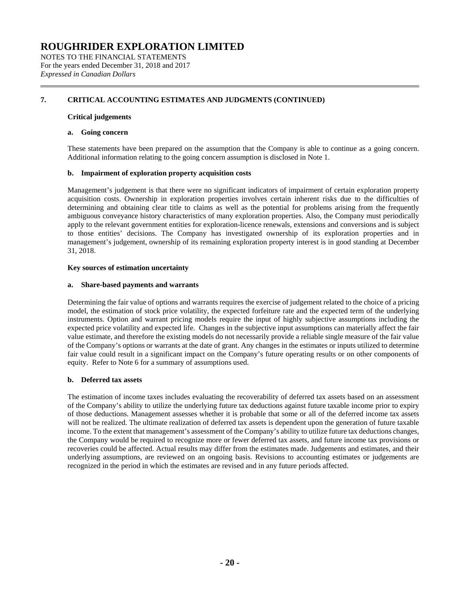NOTES TO THE FINANCIAL STATEMENTS For the years ended December 31, 2018 and 2017 *Expressed in Canadian Dollars*

# **7. CRITICAL ACCOUNTING ESTIMATES AND JUDGMENTS (CONTINUED)**

#### **Critical judgements**

#### **a. Going concern**

These statements have been prepared on the assumption that the Company is able to continue as a going concern. Additional information relating to the going concern assumption is disclosed in Note 1.

#### **b. Impairment of exploration property acquisition costs**

Management's judgement is that there were no significant indicators of impairment of certain exploration property acquisition costs. Ownership in exploration properties involves certain inherent risks due to the difficulties of determining and obtaining clear title to claims as well as the potential for problems arising from the frequently ambiguous conveyance history characteristics of many exploration properties. Also, the Company must periodically apply to the relevant government entities for exploration-licence renewals, extensions and conversions and is subject to those entities' decisions. The Company has investigated ownership of its exploration properties and in management's judgement, ownership of its remaining exploration property interest is in good standing at December 31, 2018.

### **Key sources of estimation uncertainty**

#### **a. Share-based payments and warrants**

Determining the fair value of options and warrants requires the exercise of judgement related to the choice of a pricing model, the estimation of stock price volatility, the expected forfeiture rate and the expected term of the underlying instruments. Option and warrant pricing models require the input of highly subjective assumptions including the expected price volatility and expected life. Changes in the subjective input assumptions can materially affect the fair value estimate, and therefore the existing models do not necessarily provide a reliable single measure of the fair value of the Company's options or warrants at the date of grant. Any changes in the estimates or inputs utilized to determine fair value could result in a significant impact on the Company's future operating results or on other components of equity. Refer to Note 6 for a summary of assumptions used.

### **b. Deferred tax assets**

The estimation of income taxes includes evaluating the recoverability of deferred tax assets based on an assessment of the Company's ability to utilize the underlying future tax deductions against future taxable income prior to expiry of those deductions. Management assesses whether it is probable that some or all of the deferred income tax assets will not be realized. The ultimate realization of deferred tax assets is dependent upon the generation of future taxable income. To the extent that management's assessment of the Company's ability to utilize future tax deductions changes, the Company would be required to recognize more or fewer deferred tax assets, and future income tax provisions or recoveries could be affected. Actual results may differ from the estimates made. Judgements and estimates, and their underlying assumptions, are reviewed on an ongoing basis. Revisions to accounting estimates or judgements are recognized in the period in which the estimates are revised and in any future periods affected.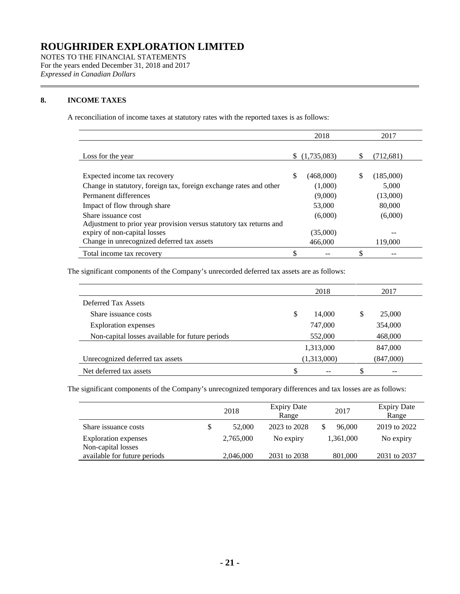NOTES TO THE FINANCIAL STATEMENTS For the years ended December 31, 2018 and 2017 *Expressed in Canadian Dollars*

# **8. INCOME TAXES**

A reconciliation of income taxes at statutory rates with the reported taxes is as follows:

|                                                                     |    | 2018        |   | 2017      |
|---------------------------------------------------------------------|----|-------------|---|-----------|
|                                                                     |    |             |   |           |
| Loss for the year                                                   | S. | (1,735,083) | S | (712,681) |
|                                                                     |    |             |   |           |
| Expected income tax recovery                                        | S  | (468,000)   | S | (185,000) |
| Change in statutory, foreign tax, foreign exchange rates and other  |    | (1,000)     |   | 5,000     |
| Permanent differences                                               |    | (9,000)     |   | (13,000)  |
| Impact of flow through share                                        |    | 53,000      |   | 80,000    |
| Share issuance cost                                                 |    | (6,000)     |   | (6,000)   |
| Adjustment to prior year provision versus statutory tax returns and |    |             |   |           |
| expiry of non-capital losses                                        |    | (35,000)    |   |           |
| Change in unrecognized deferred tax assets                          |    | 466,000     |   | 119,000   |
| Total income tax recovery                                           |    |             |   |           |

The significant components of the Company's unrecorded deferred tax assets are as follows:

|                                                 | 2018        |           | 2017 |           |  |
|-------------------------------------------------|-------------|-----------|------|-----------|--|
| Deferred Tax Assets                             |             |           |      |           |  |
| Share issuance costs                            | S           | 14.000    | S    | 25,000    |  |
| <b>Exploration</b> expenses                     |             | 747,000   |      | 354,000   |  |
| Non-capital losses available for future periods |             | 552,000   |      | 468,000   |  |
|                                                 |             | 1,313,000 |      | 847,000   |  |
| Unrecognized deferred tax assets                | (1,313,000) |           |      | (847,000) |  |
| Net deferred tax assets                         |             |           |      |           |  |

The significant components of the Company's unrecognized temporary differences and tax losses are as follows:

|                                                    | 2018         | <b>Expiry Date</b><br>Range | 2017      | <b>Expiry Date</b><br>Range |
|----------------------------------------------------|--------------|-----------------------------|-----------|-----------------------------|
| Share issuance costs                               | \$<br>52,000 | 2023 to 2028                | 96,000    | 2019 to 2022                |
| <b>Exploration</b> expenses                        | 2,765,000    | No expiry                   | 1,361,000 | No expiry                   |
| Non-capital losses<br>available for future periods | 2,046,000    | 2031 to 2038                | 801,000   | 2031 to 2037                |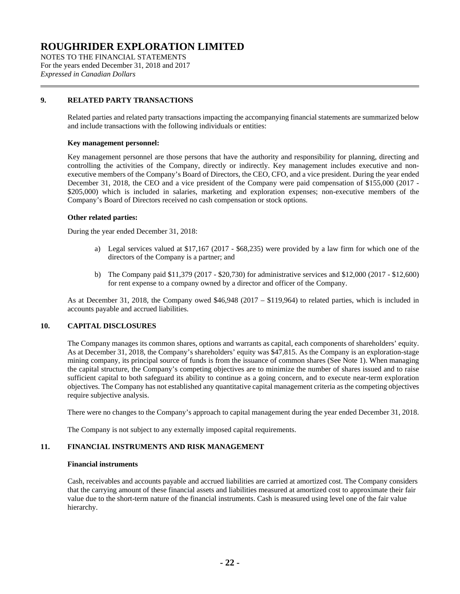NOTES TO THE FINANCIAL STATEMENTS For the years ended December 31, 2018 and 2017 *Expressed in Canadian Dollars*

### **9. RELATED PARTY TRANSACTIONS**

Related parties and related party transactions impacting the accompanying financial statements are summarized below and include transactions with the following individuals or entities:

#### **Key management personnel:**

Key management personnel are those persons that have the authority and responsibility for planning, directing and controlling the activities of the Company, directly or indirectly. Key management includes executive and nonexecutive members of the Company's Board of Directors, the CEO, CFO, and a vice president. During the year ended December 31, 2018, the CEO and a vice president of the Company were paid compensation of \$155,000 (2017 - \$205,000) which is included in salaries, marketing and exploration expenses; non-executive members of the Company's Board of Directors received no cash compensation or stock options.

#### **Other related parties:**

During the year ended December 31, 2018:

- a) Legal services valued at \$17,167 (2017 \$68,235) were provided by a law firm for which one of the directors of the Company is a partner; and
- b) The Company paid \$11,379 (2017 \$20,730) for administrative services and \$12,000 (2017 \$12,600) for rent expense to a company owned by a director and officer of the Company.

As at December 31, 2018, the Company owed \$46,948 (2017 – \$119,964) to related parties, which is included in accounts payable and accrued liabilities.

# **10. CAPITAL DISCLOSURES**

The Company manages its common shares, options and warrants as capital, each components of shareholders' equity. As at December 31, 2018, the Company's shareholders' equity was \$47,815. As the Company is an exploration-stage mining company, its principal source of funds is from the issuance of common shares (See Note 1). When managing the capital structure, the Company's competing objectives are to minimize the number of shares issued and to raise sufficient capital to both safeguard its ability to continue as a going concern, and to execute near-term exploration objectives. The Company has not established any quantitative capital management criteria as the competing objectives require subjective analysis.

There were no changes to the Company's approach to capital management during the year ended December 31, 2018.

The Company is not subject to any externally imposed capital requirements.

### **11. FINANCIAL INSTRUMENTS AND RISK MANAGEMENT**

#### **Financial instruments**

Cash, receivables and accounts payable and accrued liabilities are carried at amortized cost. The Company considers that the carrying amount of these financial assets and liabilities measured at amortized cost to approximate their fair value due to the short-term nature of the financial instruments. Cash is measured using level one of the fair value hierarchy.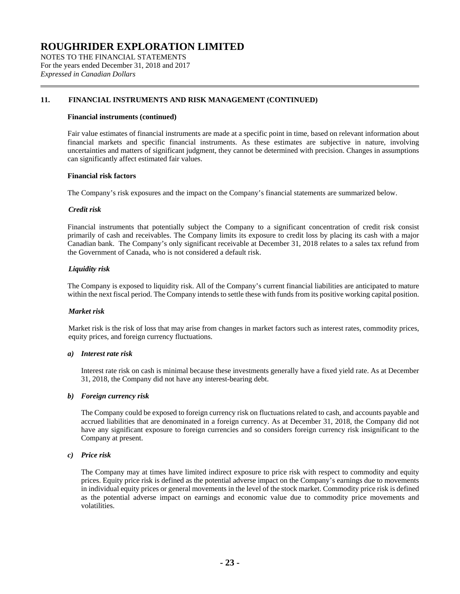NOTES TO THE FINANCIAL STATEMENTS For the years ended December 31, 2018 and 2017 *Expressed in Canadian Dollars*

### **11. FINANCIAL INSTRUMENTS AND RISK MANAGEMENT (CONTINUED)**

#### **Financial instruments (continued)**

Fair value estimates of financial instruments are made at a specific point in time, based on relevant information about financial markets and specific financial instruments. As these estimates are subjective in nature, involving uncertainties and matters of significant judgment, they cannot be determined with precision. Changes in assumptions can significantly affect estimated fair values.

#### **Financial risk factors**

The Company's risk exposures and the impact on the Company's financial statements are summarized below.

#### *Credit risk*

Financial instruments that potentially subject the Company to a significant concentration of credit risk consist primarily of cash and receivables. The Company limits its exposure to credit loss by placing its cash with a major Canadian bank. The Company's only significant receivable at December 31, 2018 relates to a sales tax refund from the Government of Canada, who is not considered a default risk.

#### *Liquidity risk*

The Company is exposed to liquidity risk. All of the Company's current financial liabilities are anticipated to mature within the next fiscal period. The Company intends to settle these with funds from its positive working capital position.

#### *Market risk*

Market risk is the risk of loss that may arise from changes in market factors such as interest rates, commodity prices, equity prices, and foreign currency fluctuations.

#### *a) Interest rate risk*

Interest rate risk on cash is minimal because these investments generally have a fixed yield rate. As at December 31, 2018, the Company did not have any interest-bearing debt.

#### *b) Foreign currency risk*

The Company could be exposed to foreign currency risk on fluctuations related to cash, and accounts payable and accrued liabilities that are denominated in a foreign currency. As at December 31, 2018, the Company did not have any significant exposure to foreign currencies and so considers foreign currency risk insignificant to the Company at present.

#### *c) Price risk*

The Company may at times have limited indirect exposure to price risk with respect to commodity and equity prices. Equity price risk is defined as the potential adverse impact on the Company's earnings due to movements in individual equity prices or general movements in the level of the stock market. Commodity price risk is defined as the potential adverse impact on earnings and economic value due to commodity price movements and volatilities.